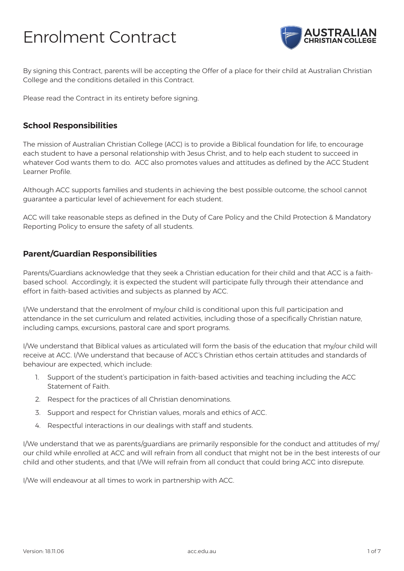# Enrolment Contract



By signing this Contract, parents will be accepting the Offer of a place for their child at Australian Christian College and the conditions detailed in this Contract.

Please read the Contract in its entirety before signing.

#### **School Responsibilities**

The mission of Australian Christian College (ACC) is to provide a Biblical foundation for life, to encourage each student to have a personal relationship with Jesus Christ, and to help each student to succeed in whatever God wants them to do. ACC also promotes values and attitudes as defined by the ACC Student Learner Profile.

Although ACC supports families and students in achieving the best possible outcome, the school cannot guarantee a particular level of achievement for each student.

ACC will take reasonable steps as defined in the Duty of Care Policy and the Child Protection & Mandatory Reporting Policy to ensure the safety of all students.

#### **Parent/Guardian Responsibilities**

Parents/Guardians acknowledge that they seek a Christian education for their child and that ACC is a faithbased school. Accordingly, it is expected the student will participate fully through their attendance and effort in faith-based activities and subjects as planned by ACC.

I/We understand that the enrolment of my/our child is conditional upon this full participation and attendance in the set curriculum and related activities, including those of a specifically Christian nature, including camps, excursions, pastoral care and sport programs.

I/We understand that Biblical values as articulated will form the basis of the education that my/our child will receive at ACC. I/We understand that because of ACC's Christian ethos certain attitudes and standards of behaviour are expected, which include:

- 1. Support of the student's participation in faith-based activities and teaching including the ACC Statement of Faith.
- 2. Respect for the practices of all Christian denominations.
- 3. Support and respect for Christian values, morals and ethics of ACC.
- 4. Respectful interactions in our dealings with staff and students.

I/We understand that we as parents/guardians are primarily responsible for the conduct and attitudes of my/ our child while enrolled at ACC and will refrain from all conduct that might not be in the best interests of our child and other students, and that I/We will refrain from all conduct that could bring ACC into disrepute.

I/We will endeavour at all times to work in partnership with ACC.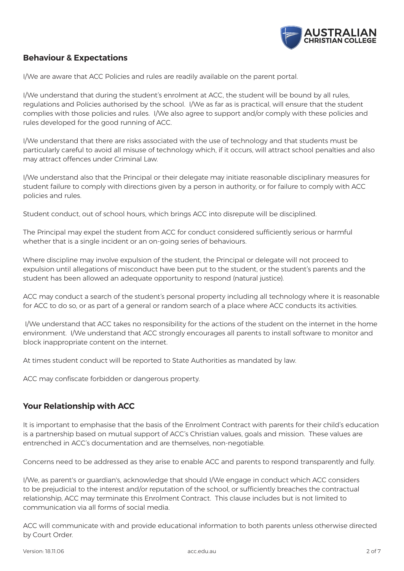

# **Behaviour & Expectations**

I/We are aware that ACC Policies and rules are readily available on the parent portal.

I/We understand that during the student's enrolment at ACC, the student will be bound by all rules, regulations and Policies authorised by the school. I/We as far as is practical, will ensure that the student complies with those policies and rules. I/We also agree to support and/or comply with these policies and rules developed for the good running of ACC.

I/We understand that there are risks associated with the use of technology and that students must be particularly careful to avoid all misuse of technology which, if it occurs, will attract school penalties and also may attract offences under Criminal Law.

I/We understand also that the Principal or their delegate may initiate reasonable disciplinary measures for student failure to comply with directions given by a person in authority, or for failure to comply with ACC policies and rules.

Student conduct, out of school hours, which brings ACC into disrepute will be disciplined.

The Principal may expel the student from ACC for conduct considered sufficiently serious or harmful whether that is a single incident or an on-going series of behaviours.

Where discipline may involve expulsion of the student, the Principal or delegate will not proceed to expulsion until allegations of misconduct have been put to the student, or the student's parents and the student has been allowed an adequate opportunity to respond (natural justice).

ACC may conduct a search of the student's personal property including all technology where it is reasonable for ACC to do so, or as part of a general or random search of a place where ACC conducts its activities.

 I/We understand that ACC takes no responsibility for the actions of the student on the internet in the home environment. I/We understand that ACC strongly encourages all parents to install software to monitor and block inappropriate content on the internet.

At times student conduct will be reported to State Authorities as mandated by law.

ACC may confiscate forbidden or dangerous property.

## **Your Relationship with ACC**

It is important to emphasise that the basis of the Enrolment Contract with parents for their child's education is a partnership based on mutual support of ACC's Christian values, goals and mission. These values are entrenched in ACC's documentation and are themselves, non-negotiable.

Concerns need to be addressed as they arise to enable ACC and parents to respond transparently and fully.

I/We, as parent's or guardian's, acknowledge that should I/We engage in conduct which ACC considers to be prejudicial to the interest and/or reputation of the school, or sufficiently breaches the contractual relationship, ACC may terminate this Enrolment Contract. This clause includes but is not limited to communication via all forms of social media.

ACC will communicate with and provide educational information to both parents unless otherwise directed by Court Order.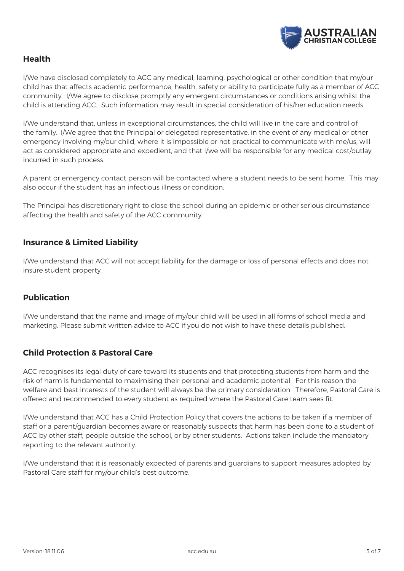

# **Health**

I/We have disclosed completely to ACC any medical, learning, psychological or other condition that my/our child has that affects academic performance, health, safety or ability to participate fully as a member of ACC community. I/We agree to disclose promptly any emergent circumstances or conditions arising whilst the child is attending ACC. Such information may result in special consideration of his/her education needs.

I/We understand that, unless in exceptional circumstances, the child will live in the care and control of the family. I/We agree that the Principal or delegated representative, in the event of any medical or other emergency involving my/our child, where it is impossible or not practical to communicate with me/us, will act as considered appropriate and expedient, and that I/we will be responsible for any medical cost/outlay incurred in such process.

A parent or emergency contact person will be contacted where a student needs to be sent home. This may also occur if the student has an infectious illness or condition.

The Principal has discretionary right to close the school during an epidemic or other serious circumstance affecting the health and safety of the ACC community.

## **Insurance & Limited Liability**

I/We understand that ACC will not accept liability for the damage or loss of personal effects and does not insure student property.

## **Publication**

I/We understand that the name and image of my/our child will be used in all forms of school media and marketing. Please submit written advice to ACC if you do not wish to have these details published.

# **Child Protection & Pastoral Care**

ACC recognises its legal duty of care toward its students and that protecting students from harm and the risk of harm is fundamental to maximising their personal and academic potential. For this reason the welfare and best interests of the student will always be the primary consideration. Therefore, Pastoral Care is offered and recommended to every student as required where the Pastoral Care team sees fit.

I/We understand that ACC has a Child Protection Policy that covers the actions to be taken if a member of staff or a parent/guardian becomes aware or reasonably suspects that harm has been done to a student of ACC by other staff, people outside the school, or by other students. Actions taken include the mandatory reporting to the relevant authority.

I/We understand that it is reasonably expected of parents and guardians to support measures adopted by Pastoral Care staff for my/our child's best outcome.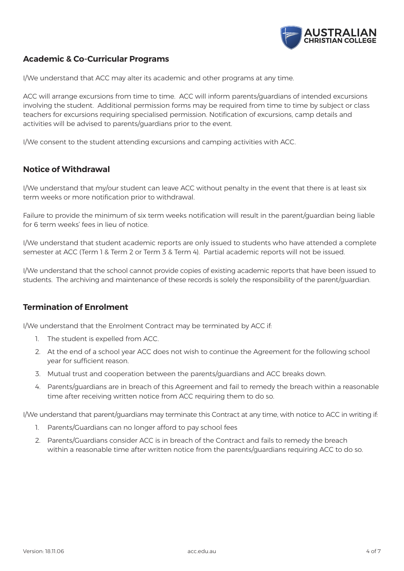

# **Academic & Co-Curricular Programs**

I/We understand that ACC may alter its academic and other programs at any time.

ACC will arrange excursions from time to time. ACC will inform parents/guardians of intended excursions involving the student. Additional permission forms may be required from time to time by subject or class teachers for excursions requiring specialised permission. Notification of excursions, camp details and activities will be advised to parents/guardians prior to the event.

I/We consent to the student attending excursions and camping activities with ACC.

## **Notice of Withdrawal**

I/We understand that my/our student can leave ACC without penalty in the event that there is at least six term weeks or more notification prior to withdrawal.

Failure to provide the minimum of six term weeks notification will result in the parent/guardian being liable for 6 term weeks' fees in lieu of notice.

I/We understand that student academic reports are only issued to students who have attended a complete semester at ACC (Term 1 & Term 2 or Term 3 & Term 4). Partial academic reports will not be issued.

I/We understand that the school cannot provide copies of existing academic reports that have been issued to students. The archiving and maintenance of these records is solely the responsibility of the parent/guardian.

## **Termination of Enrolment**

I/We understand that the Enrolment Contract may be terminated by ACC if:

- 1. The student is expelled from ACC.
- 2. At the end of a school year ACC does not wish to continue the Agreement for the following school year for sufficient reason.
- 3. Mutual trust and cooperation between the parents/guardians and ACC breaks down.
- 4. Parents/guardians are in breach of this Agreement and fail to remedy the breach within a reasonable time after receiving written notice from ACC requiring them to do so.

I/We understand that parent/guardians may terminate this Contract at any time, with notice to ACC in writing if:

- 1. Parents/Guardians can no longer afford to pay school fees
- 2. Parents/Guardians consider ACC is in breach of the Contract and fails to remedy the breach within a reasonable time after written notice from the parents/guardians requiring ACC to do so.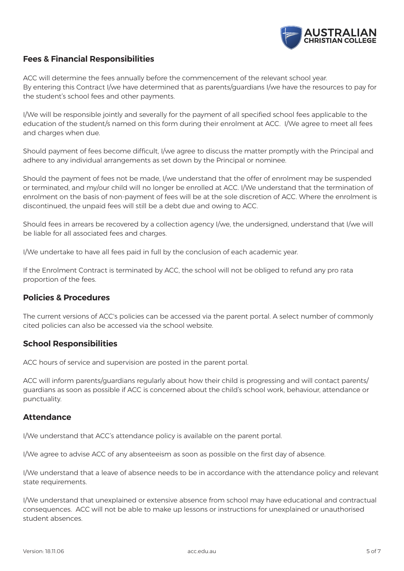

# **Fees & Financial Responsibilities**

ACC will determine the fees annually before the commencement of the relevant school year. By entering this Contract I/we have determined that as parents/guardians I/we have the resources to pay for the student's school fees and other payments.

I/We will be responsible jointly and severally for the payment of all specified school fees applicable to the education of the student/s named on this form during their enrolment at ACC. I/We agree to meet all fees and charges when due.

Should payment of fees become difficult, I/we agree to discuss the matter promptly with the Principal and adhere to any individual arrangements as set down by the Principal or nominee.

Should the payment of fees not be made, I/we understand that the offer of enrolment may be suspended or terminated, and my/our child will no longer be enrolled at ACC. I/We understand that the termination of enrolment on the basis of non-payment of fees will be at the sole discretion of ACC. Where the enrolment is discontinued, the unpaid fees will still be a debt due and owing to ACC.

Should fees in arrears be recovered by a collection agency I/we, the undersigned, understand that I/we will be liable for all associated fees and charges.

I/We undertake to have all fees paid in full by the conclusion of each academic year.

If the Enrolment Contract is terminated by ACC, the school will not be obliged to refund any pro rata proportion of the fees.

#### **Policies & Procedures**

The current versions of ACC's policies can be accessed via the parent portal. A select number of commonly cited policies can also be accessed via the school website.

## **School Responsibilities**

ACC hours of service and supervision are posted in the parent portal.

ACC will inform parents/guardians regularly about how their child is progressing and will contact parents/ guardians as soon as possible if ACC is concerned about the child's school work, behaviour, attendance or punctuality.

#### **Attendance**

I/We understand that ACC's attendance policy is available on the parent portal.

I/We agree to advise ACC of any absenteeism as soon as possible on the first day of absence.

I/We understand that a leave of absence needs to be in accordance with the attendance policy and relevant state requirements.

I/We understand that unexplained or extensive absence from school may have educational and contractual consequences. ACC will not be able to make up lessons or instructions for unexplained or unauthorised student absences.